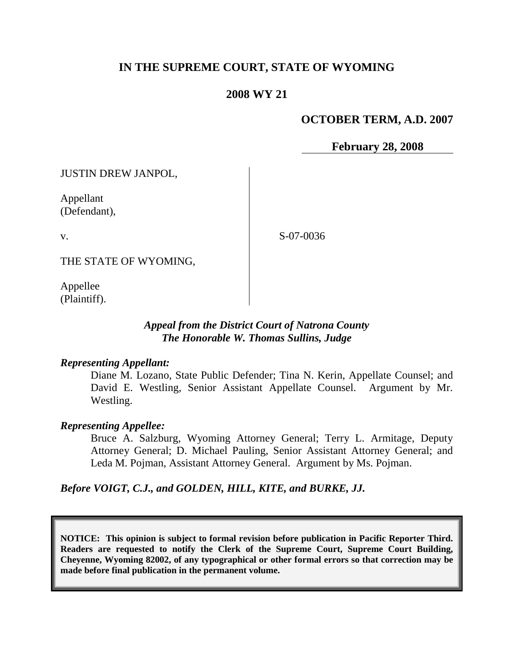# **IN THE SUPREME COURT, STATE OF WYOMING**

## **2008 WY 21**

## **OCTOBER TERM, A.D. 2007**

**February 28, 2008**

JUSTIN DREW JANPOL,

Appellant (Defendant),

v.

S-07-0036

THE STATE OF WYOMING,

Appellee (Plaintiff).

## *Appeal from the District Court of Natrona County The Honorable W. Thomas Sullins, Judge*

#### *Representing Appellant:*

Diane M. Lozano, State Public Defender; Tina N. Kerin, Appellate Counsel; and David E. Westling, Senior Assistant Appellate Counsel. Argument by Mr. Westling.

## *Representing Appellee:*

Bruce A. Salzburg, Wyoming Attorney General; Terry L. Armitage, Deputy Attorney General; D. Michael Pauling, Senior Assistant Attorney General; and Leda M. Pojman, Assistant Attorney General. Argument by Ms. Pojman.

*Before VOIGT, C.J., and GOLDEN, HILL, KITE, and BURKE, JJ.*

**NOTICE: This opinion is subject to formal revision before publication in Pacific Reporter Third. Readers are requested to notify the Clerk of the Supreme Court, Supreme Court Building, Cheyenne, Wyoming 82002, of any typographical or other formal errors so that correction may be made before final publication in the permanent volume.**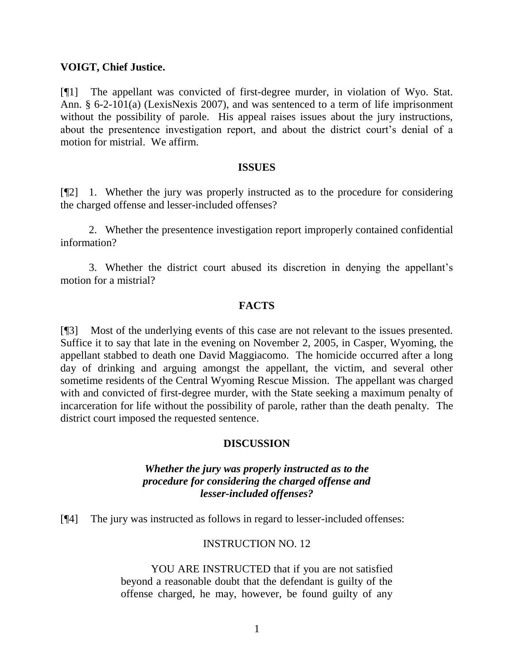#### **VOIGT, Chief Justice.**

[¶1] The appellant was convicted of first-degree murder, in violation of Wyo. Stat. Ann. § 6-2-101(a) (LexisNexis 2007), and was sentenced to a term of life imprisonment without the possibility of parole. His appeal raises issues about the jury instructions, about the presentence investigation report, and about the district court's denial of a motion for mistrial. We affirm.

#### **ISSUES**

[¶2] 1. Whether the jury was properly instructed as to the procedure for considering the charged offense and lesser-included offenses?

2. Whether the presentence investigation report improperly contained confidential information?

3. Whether the district court abused its discretion in denying the appellant's motion for a mistrial?

#### **FACTS**

[¶3] Most of the underlying events of this case are not relevant to the issues presented. Suffice it to say that late in the evening on November 2, 2005, in Casper, Wyoming, the appellant stabbed to death one David Maggiacomo. The homicide occurred after a long day of drinking and arguing amongst the appellant, the victim, and several other sometime residents of the Central Wyoming Rescue Mission. The appellant was charged with and convicted of first-degree murder, with the State seeking a maximum penalty of incarceration for life without the possibility of parole, rather than the death penalty. The district court imposed the requested sentence.

## **DISCUSSION**

# *Whether the jury was properly instructed as to the procedure for considering the charged offense and lesser-included offenses?*

[¶4] The jury was instructed as follows in regard to lesser-included offenses:

#### INSTRUCTION NO. 12

YOU ARE INSTRUCTED that if you are not satisfied beyond a reasonable doubt that the defendant is guilty of the offense charged, he may, however, be found guilty of any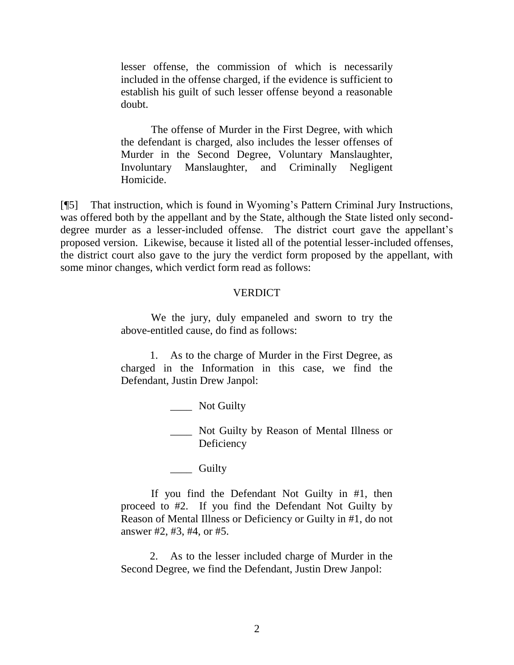lesser offense, the commission of which is necessarily included in the offense charged, if the evidence is sufficient to establish his guilt of such lesser offense beyond a reasonable doubt.

The offense of Murder in the First Degree, with which the defendant is charged, also includes the lesser offenses of Murder in the Second Degree, Voluntary Manslaughter, Involuntary Manslaughter, and Criminally Negligent Homicide.

[¶5] That instruction, which is found in Wyoming's Pattern Criminal Jury Instructions, was offered both by the appellant and by the State, although the State listed only seconddegree murder as a lesser-included offense. The district court gave the appellant's proposed version. Likewise, because it listed all of the potential lesser-included offenses, the district court also gave to the jury the verdict form proposed by the appellant, with some minor changes, which verdict form read as follows:

## **VERDICT**

We the jury, duly empaneled and sworn to try the above-entitled cause, do find as follows:

1. As to the charge of Murder in the First Degree, as charged in the Information in this case, we find the Defendant, Justin Drew Janpol:

\_\_\_\_ Not Guilty

\_\_\_\_ Not Guilty by Reason of Mental Illness or Deficiency

\_\_\_\_ Guilty

If you find the Defendant Not Guilty in #1, then proceed to #2. If you find the Defendant Not Guilty by Reason of Mental Illness or Deficiency or Guilty in #1, do not answer #2, #3, #4, or #5.

2. As to the lesser included charge of Murder in the Second Degree, we find the Defendant, Justin Drew Janpol: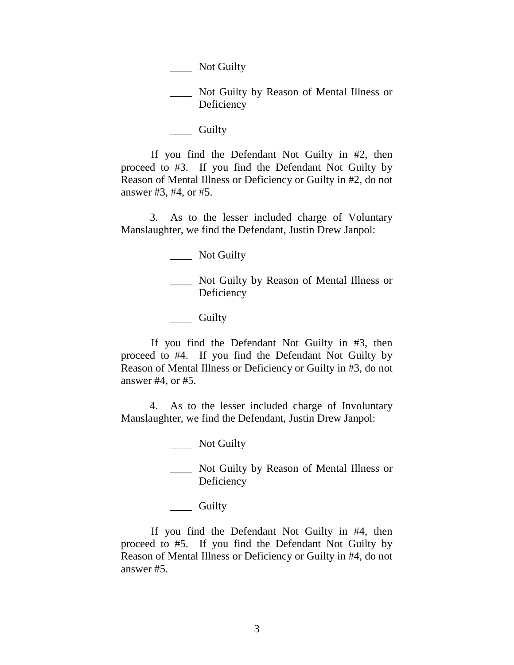\_\_\_\_ Not Guilty by Reason of Mental Illness or Deficiency

\_\_\_\_ Guilty

\_\_\_\_ Not Guilty

If you find the Defendant Not Guilty in #2, then proceed to #3. If you find the Defendant Not Guilty by Reason of Mental Illness or Deficiency or Guilty in #2, do not answer #3, #4, or #5.

3. As to the lesser included charge of Voluntary Manslaughter, we find the Defendant, Justin Drew Janpol:

\_\_\_\_ Not Guilty

Not Guilty by Reason of Mental Illness or Deficiency

\_\_\_\_ Guilty

If you find the Defendant Not Guilty in #3, then proceed to #4. If you find the Defendant Not Guilty by Reason of Mental Illness or Deficiency or Guilty in #3, do not answer #4, or #5.

4. As to the lesser included charge of Involuntary Manslaughter, we find the Defendant, Justin Drew Janpol:

\_\_\_\_ Not Guilty

\_\_\_\_ Not Guilty by Reason of Mental Illness or Deficiency

\_\_\_\_ Guilty

If you find the Defendant Not Guilty in #4, then proceed to #5. If you find the Defendant Not Guilty by Reason of Mental Illness or Deficiency or Guilty in #4, do not answer #5.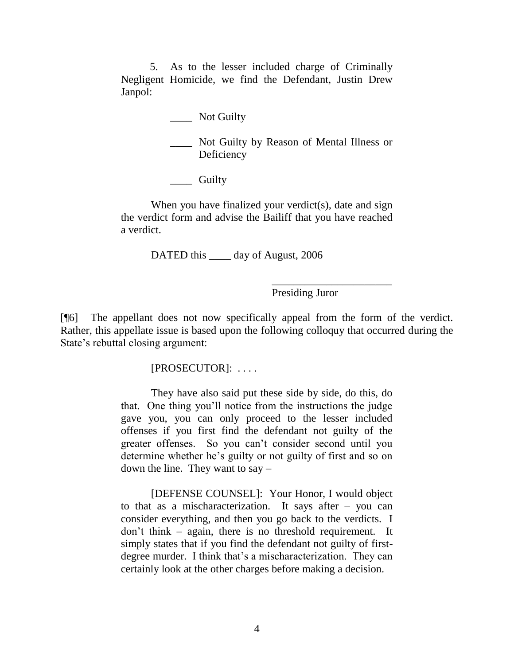5. As to the lesser included charge of Criminally Negligent Homicide, we find the Defendant, Justin Drew Janpol:

\_\_\_\_ Not Guilty

\_\_\_\_ Not Guilty by Reason of Mental Illness or **Deficiency** 

\_\_\_\_ Guilty

When you have finalized your verdict(s), date and sign the verdict form and advise the Bailiff that you have reached a verdict.

DATED this \_\_\_\_\_ day of August, 2006

Presiding Juror

\_\_\_\_\_\_\_\_\_\_\_\_\_\_\_\_\_\_\_\_\_\_

[¶6] The appellant does not now specifically appeal from the form of the verdict. Rather, this appellate issue is based upon the following colloquy that occurred during the State's rebuttal closing argument:

[PROSECUTOR]: . . . .

They have also said put these side by side, do this, do that. One thing you'll notice from the instructions the judge gave you, you can only proceed to the lesser included offenses if you first find the defendant not guilty of the greater offenses. So you can't consider second until you determine whether he's guilty or not guilty of first and so on down the line. They want to say –

[DEFENSE COUNSEL]: Your Honor, I would object to that as a mischaracterization. It says after – you can consider everything, and then you go back to the verdicts. I don't think – again, there is no threshold requirement. It simply states that if you find the defendant not guilty of firstdegree murder. I think that's a mischaracterization. They can certainly look at the other charges before making a decision.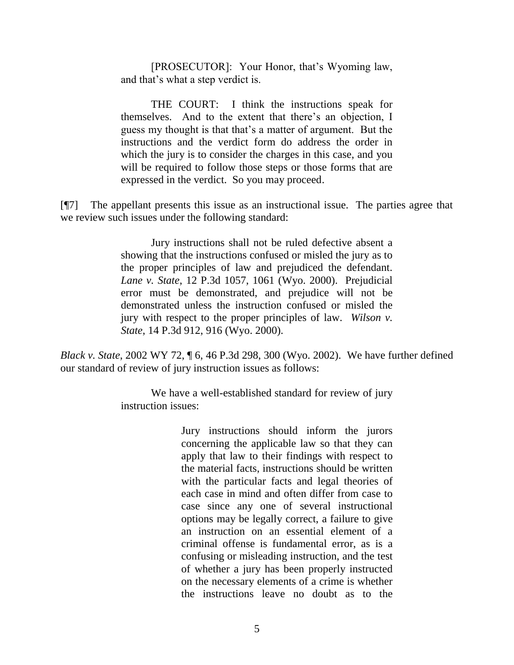[PROSECUTOR]: Your Honor, that's Wyoming law, and that's what a step verdict is.

THE COURT: I think the instructions speak for themselves. And to the extent that there's an objection, I guess my thought is that that's a matter of argument. But the instructions and the verdict form do address the order in which the jury is to consider the charges in this case, and you will be required to follow those steps or those forms that are expressed in the verdict. So you may proceed.

[¶7] The appellant presents this issue as an instructional issue. The parties agree that we review such issues under the following standard:

> Jury instructions shall not be ruled defective absent a showing that the instructions confused or misled the jury as to the proper principles of law and prejudiced the defendant. *Lane v. State*, 12 P.3d 1057, 1061 (Wyo. 2000). Prejudicial error must be demonstrated, and prejudice will not be demonstrated unless the instruction confused or misled the jury with respect to the proper principles of law. *Wilson v. State*, 14 P.3d 912, 916 (Wyo. 2000).

*Black v. State*, 2002 WY 72, ¶ 6, 46 P.3d 298, 300 (Wyo. 2002). We have further defined our standard of review of jury instruction issues as follows:

> We have a well-established standard for review of jury instruction issues:

> > Jury instructions should inform the jurors concerning the applicable law so that they can apply that law to their findings with respect to the material facts, instructions should be written with the particular facts and legal theories of each case in mind and often differ from case to case since any one of several instructional options may be legally correct, a failure to give an instruction on an essential element of a criminal offense is fundamental error, as is a confusing or misleading instruction, and the test of whether a jury has been properly instructed on the necessary elements of a crime is whether the instructions leave no doubt as to the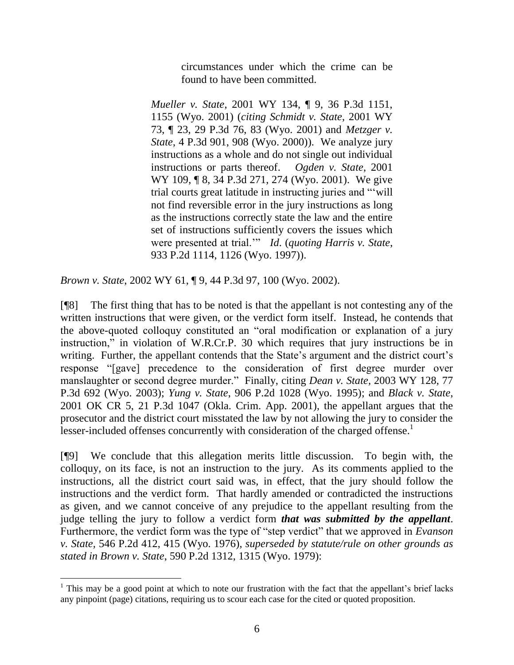circumstances under which the crime can be found to have been committed.

*Mueller v. State*, 2001 WY 134, ¶ 9, 36 P.3d 1151, 1155 (Wyo. 2001) (*citing Schmidt v. State*, 2001 WY 73, ¶ 23, 29 P.3d 76, 83 (Wyo. 2001) and *Metzger v. State*, 4 P.3d 901, 908 (Wyo. 2000)). We analyze jury instructions as a whole and do not single out individual instructions or parts thereof. *Ogden v. State*, 2001 WY 109, ¶ 8, 34 P.3d 271, 274 (Wyo. 2001). We give trial courts great latitude in instructing juries and ""will" not find reversible error in the jury instructions as long as the instructions correctly state the law and the entire set of instructions sufficiently covers the issues which were presented at trial." *Id.* (*quoting Harris v. State*, 933 P.2d 1114, 1126 (Wyo. 1997)).

*Brown v. State*, 2002 WY 61, ¶ 9, 44 P.3d 97, 100 (Wyo. 2002).

[¶8] The first thing that has to be noted is that the appellant is not contesting any of the written instructions that were given, or the verdict form itself. Instead, he contends that the above-quoted colloquy constituted an "oral modification or explanation of a jury instruction," in violation of W.R.Cr.P. 30 which requires that jury instructions be in writing. Further, the appellant contends that the State's argument and the district court's response "[gave] precedence to the consideration of first degree murder over manslaughter or second degree murder." Finally, citing *Dean v. State*, 2003 WY 128, 77 P.3d 692 (Wyo. 2003); *Yung v. State*, 906 P.2d 1028 (Wyo. 1995); and *Black v. State*, 2001 OK CR 5, 21 P.3d 1047 (Okla. Crim. App. 2001), the appellant argues that the prosecutor and the district court misstated the law by not allowing the jury to consider the lesser-included offenses concurrently with consideration of the charged offense.<sup>1</sup>

[¶9] We conclude that this allegation merits little discussion. To begin with, the colloquy, on its face, is not an instruction to the jury. As its comments applied to the instructions, all the district court said was, in effect, that the jury should follow the instructions and the verdict form. That hardly amended or contradicted the instructions as given, and we cannot conceive of any prejudice to the appellant resulting from the judge telling the jury to follow a verdict form *that was submitted by the appellant*. Furthermore, the verdict form was the type of "step verdict" that we approved in *Evanson v. State,* 546 P.2d 412, 415 (Wyo. 1976), *superseded by statute/rule on other grounds as stated in Brown v. State*, 590 P.2d 1312, 1315 (Wyo. 1979):

 $1$ . This may be a good point at which to note our frustration with the fact that the appellant's brief lacks any pinpoint (page) citations, requiring us to scour each case for the cited or quoted proposition.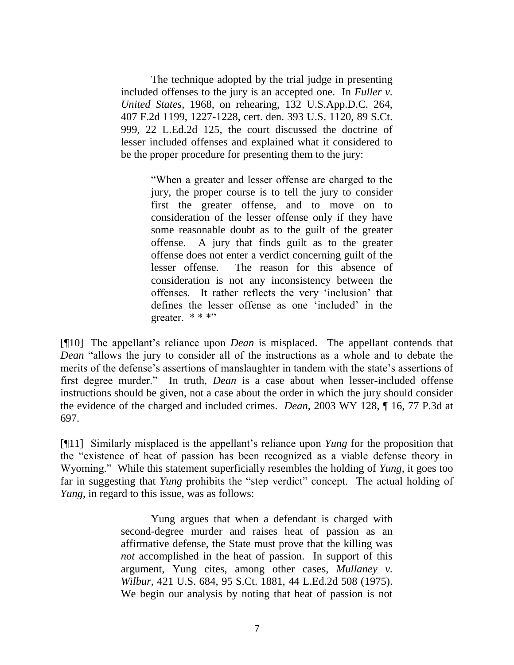The technique adopted by the trial judge in presenting included offenses to the jury is an accepted one. In *Fuller v. United States*, 1968, on rehearing, 132 U.S.App.D.C. 264, 407 F.2d 1199, 1227-1228, cert. den. 393 U.S. 1120, 89 S.Ct. 999, 22 L.Ed.2d 125, the court discussed the doctrine of lesser included offenses and explained what it considered to be the proper procedure for presenting them to the jury:

> ―When a greater and lesser offense are charged to the jury, the proper course is to tell the jury to consider first the greater offense, and to move on to consideration of the lesser offense only if they have some reasonable doubt as to the guilt of the greater offense. A jury that finds guilt as to the greater offense does not enter a verdict concerning guilt of the lesser offense. The reason for this absence of consideration is not any inconsistency between the offenses. It rather reflects the very 'inclusion' that defines the lesser offense as one 'included' in the greater.  $***$

[¶10] The appellant's reliance upon *Dean* is misplaced. The appellant contends that *Dean* "allows the jury to consider all of the instructions as a whole and to debate the merits of the defense's assertions of manslaughter in tandem with the state's assertions of first degree murder." In truth, *Dean* is a case about when lesser-included offense instructions should be given, not a case about the order in which the jury should consider the evidence of the charged and included crimes. *Dean*, 2003 WY 128, ¶ 16, 77 P.3d at 697.

[¶11] Similarly misplaced is the appellant's reliance upon *Yung* for the proposition that the "existence of heat of passion has been recognized as a viable defense theory in Wyoming." While this statement superficially resembles the holding of *Yung*, it goes too far in suggesting that *Yung* prohibits the "step verdict" concept. The actual holding of *Yung*, in regard to this issue, was as follows:

> Yung argues that when a defendant is charged with second-degree murder and raises heat of passion as an affirmative defense, the State must prove that the killing was *not* accomplished in the heat of passion. In support of this argument, Yung cites, among other cases, *Mullaney v. Wilbur*, 421 U.S. 684, 95 S.Ct. 1881, 44 L.Ed.2d 508 (1975). We begin our analysis by noting that heat of passion is not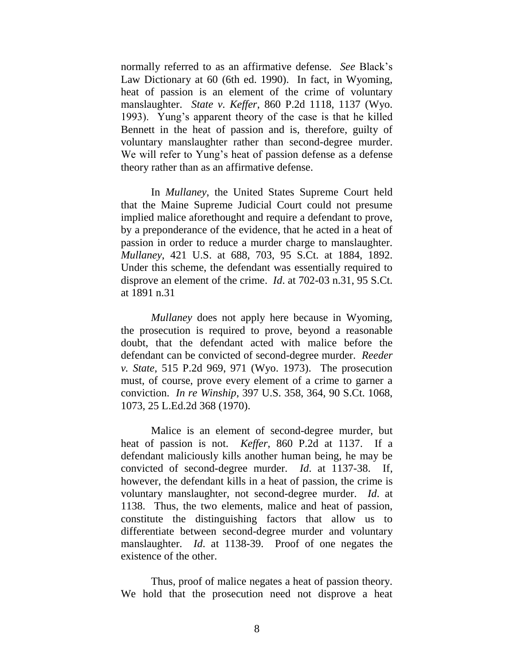normally referred to as an affirmative defense. *See* Black's Law Dictionary at 60 (6th ed. 1990). In fact, in Wyoming, heat of passion is an element of the crime of voluntary manslaughter. *State v. Keffer*, 860 P.2d 1118, 1137 (Wyo. 1993). Yung's apparent theory of the case is that he killed Bennett in the heat of passion and is, therefore, guilty of voluntary manslaughter rather than second-degree murder. We will refer to Yung's heat of passion defense as a defense theory rather than as an affirmative defense.

In *Mullaney*, the United States Supreme Court held that the Maine Supreme Judicial Court could not presume implied malice aforethought and require a defendant to prove, by a preponderance of the evidence, that he acted in a heat of passion in order to reduce a murder charge to manslaughter. *Mullaney*, 421 U.S. at 688, 703, 95 S.Ct. at 1884, 1892. Under this scheme, the defendant was essentially required to disprove an element of the crime. *Id*. at 702-03 n.31, 95 S.Ct. at 1891 n.31

*Mullaney* does not apply here because in Wyoming, the prosecution is required to prove, beyond a reasonable doubt, that the defendant acted with malice before the defendant can be convicted of second-degree murder. *Reeder v. State*, 515 P.2d 969, 971 (Wyo. 1973). The prosecution must, of course, prove every element of a crime to garner a conviction. *In re Winship*, 397 U.S. 358, 364, 90 S.Ct. 1068, 1073, 25 L.Ed.2d 368 (1970).

Malice is an element of second-degree murder, but heat of passion is not. *Keffer*, 860 P.2d at 1137. If a defendant maliciously kills another human being, he may be convicted of second-degree murder. *Id*. at 1137-38. If, however, the defendant kills in a heat of passion, the crime is voluntary manslaughter, not second-degree murder. *Id*. at 1138. Thus, the two elements, malice and heat of passion, constitute the distinguishing factors that allow us to differentiate between second-degree murder and voluntary manslaughter. *Id*. at 1138-39. Proof of one negates the existence of the other.

Thus, proof of malice negates a heat of passion theory. We hold that the prosecution need not disprove a heat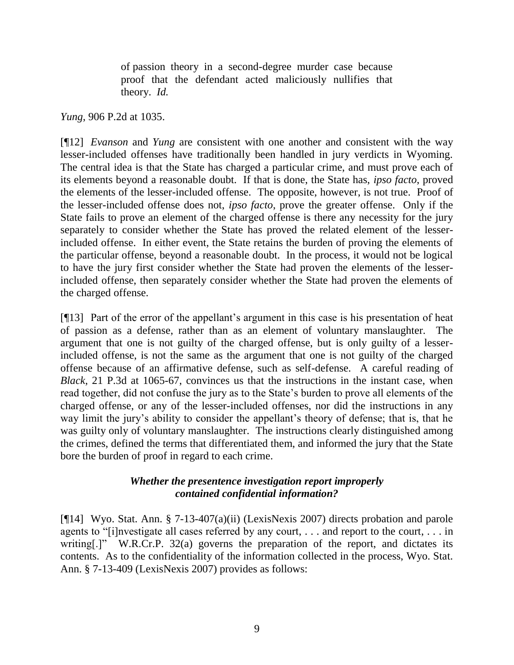of passion theory in a second-degree murder case because proof that the defendant acted maliciously nullifies that theory. *Id.*

*Yung*, 906 P.2d at 1035.

[¶12] *Evanson* and *Yung* are consistent with one another and consistent with the way lesser-included offenses have traditionally been handled in jury verdicts in Wyoming. The central idea is that the State has charged a particular crime, and must prove each of its elements beyond a reasonable doubt. If that is done, the State has, *ipso facto*, proved the elements of the lesser-included offense. The opposite, however, is not true. Proof of the lesser-included offense does not, *ipso facto*, prove the greater offense. Only if the State fails to prove an element of the charged offense is there any necessity for the jury separately to consider whether the State has proved the related element of the lesserincluded offense. In either event, the State retains the burden of proving the elements of the particular offense, beyond a reasonable doubt. In the process, it would not be logical to have the jury first consider whether the State had proven the elements of the lesserincluded offense, then separately consider whether the State had proven the elements of the charged offense.

[¶13] Part of the error of the appellant's argument in this case is his presentation of heat of passion as a defense, rather than as an element of voluntary manslaughter. The argument that one is not guilty of the charged offense, but is only guilty of a lesserincluded offense, is not the same as the argument that one is not guilty of the charged offense because of an affirmative defense, such as self-defense. A careful reading of *Black*, 21 P.3d at 1065-67, convinces us that the instructions in the instant case, when read together, did not confuse the jury as to the State's burden to prove all elements of the charged offense, or any of the lesser-included offenses, nor did the instructions in any way limit the jury's ability to consider the appellant's theory of defense; that is, that he was guilty only of voluntary manslaughter. The instructions clearly distinguished among the crimes, defined the terms that differentiated them, and informed the jury that the State bore the burden of proof in regard to each crime.

# *Whether the presentence investigation report improperly contained confidential information?*

[¶14] Wyo. Stat. Ann. § 7-13-407(a)(ii) (LexisNexis 2007) directs probation and parole agents to "[i]nvestigate all cases referred by any court,  $\dots$  and report to the court,  $\dots$  in writing[.]" W.R.Cr.P. 32(a) governs the preparation of the report, and dictates its contents. As to the confidentiality of the information collected in the process, Wyo. Stat. Ann. § 7-13-409 (LexisNexis 2007) provides as follows: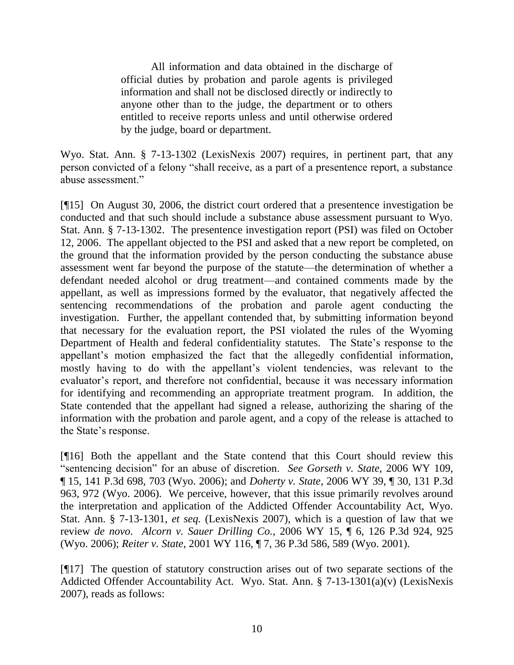All information and data obtained in the discharge of official duties by probation and parole agents is privileged information and shall not be disclosed directly or indirectly to anyone other than to the judge, the department or to others entitled to receive reports unless and until otherwise ordered by the judge, board or department.

Wyo. Stat. Ann. § 7-13-1302 (LexisNexis 2007) requires, in pertinent part, that any person convicted of a felony "shall receive, as a part of a presentence report, a substance abuse assessment."

[¶15] On August 30, 2006, the district court ordered that a presentence investigation be conducted and that such should include a substance abuse assessment pursuant to Wyo. Stat. Ann. § 7-13-1302. The presentence investigation report (PSI) was filed on October 12, 2006. The appellant objected to the PSI and asked that a new report be completed, on the ground that the information provided by the person conducting the substance abuse assessment went far beyond the purpose of the statute—the determination of whether a defendant needed alcohol or drug treatment—and contained comments made by the appellant, as well as impressions formed by the evaluator, that negatively affected the sentencing recommendations of the probation and parole agent conducting the investigation. Further, the appellant contended that, by submitting information beyond that necessary for the evaluation report, the PSI violated the rules of the Wyoming Department of Health and federal confidentiality statutes. The State's response to the appellant's motion emphasized the fact that the allegedly confidential information, mostly having to do with the appellant's violent tendencies, was relevant to the evaluator's report, and therefore not confidential, because it was necessary information for identifying and recommending an appropriate treatment program. In addition, the State contended that the appellant had signed a release, authorizing the sharing of the information with the probation and parole agent, and a copy of the release is attached to the State's response.

[¶16] Both the appellant and the State contend that this Court should review this "sentencing decision" for an abuse of discretion. *See Gorseth v. State*, 2006 WY 109, ¶ 15, 141 P.3d 698, 703 (Wyo. 2006); and *Doherty v. State*, 2006 WY 39, ¶ 30, 131 P.3d 963, 972 (Wyo. 2006). We perceive, however, that this issue primarily revolves around the interpretation and application of the Addicted Offender Accountability Act, Wyo. Stat. Ann. § 7-13-1301, *et seq.* (LexisNexis 2007), which is a question of law that we review *de novo*. *Alcorn v. Sauer Drilling Co.*, 2006 WY 15, ¶ 6, 126 P.3d 924, 925 (Wyo. 2006); *Reiter v. State*, 2001 WY 116, ¶ 7, 36 P.3d 586, 589 (Wyo. 2001).

[¶17] The question of statutory construction arises out of two separate sections of the Addicted Offender Accountability Act. Wyo. Stat. Ann. § 7-13-1301(a)(v) (LexisNexis 2007), reads as follows: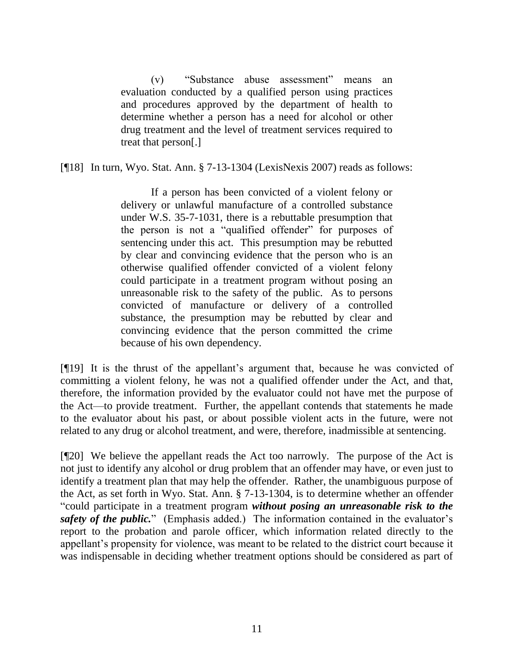(v) 
"Substance abuse assessment" means an evaluation conducted by a qualified person using practices and procedures approved by the department of health to determine whether a person has a need for alcohol or other drug treatment and the level of treatment services required to treat that person[.]

[¶18] In turn, Wyo. Stat. Ann. § 7-13-1304 (LexisNexis 2007) reads as follows:

If a person has been convicted of a violent felony or delivery or unlawful manufacture of a controlled substance under W.S. 35-7-1031, there is a rebuttable presumption that the person is not a "qualified offender" for purposes of sentencing under this act. This presumption may be rebutted by clear and convincing evidence that the person who is an otherwise qualified offender convicted of a violent felony could participate in a treatment program without posing an unreasonable risk to the safety of the public. As to persons convicted of manufacture or delivery of a controlled substance, the presumption may be rebutted by clear and convincing evidence that the person committed the crime because of his own dependency.

[¶19] It is the thrust of the appellant's argument that, because he was convicted of committing a violent felony, he was not a qualified offender under the Act, and that, therefore, the information provided by the evaluator could not have met the purpose of the Act—to provide treatment. Further, the appellant contends that statements he made to the evaluator about his past, or about possible violent acts in the future, were not related to any drug or alcohol treatment, and were, therefore, inadmissible at sentencing.

[¶20] We believe the appellant reads the Act too narrowly. The purpose of the Act is not just to identify any alcohol or drug problem that an offender may have, or even just to identify a treatment plan that may help the offender. Rather, the unambiguous purpose of the Act, as set forth in Wyo. Stat. Ann. § 7-13-1304, is to determine whether an offender ―could participate in a treatment program *without posing an unreasonable risk to the*  safety of the public." (Emphasis added.) The information contained in the evaluator's report to the probation and parole officer, which information related directly to the appellant's propensity for violence, was meant to be related to the district court because it was indispensable in deciding whether treatment options should be considered as part of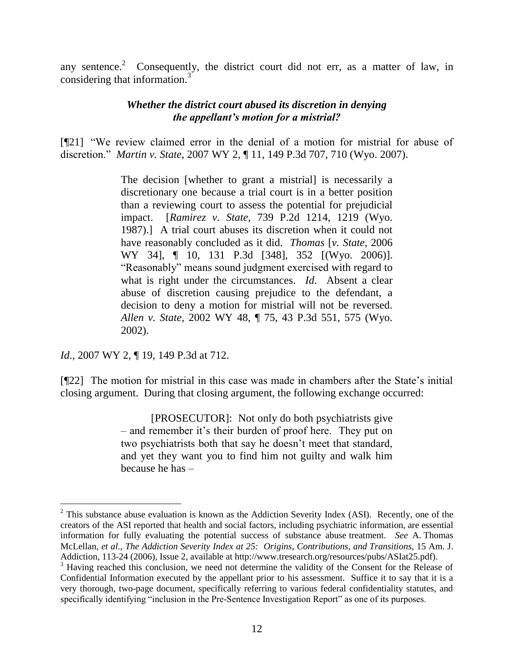any sentence.<sup>2</sup> Consequently, the district court did not err, as a matter of law, in considering that information.<sup>3</sup>

## *Whether the district court abused its discretion in denying the appellant's motion for a mistrial?*

[¶21] "We review claimed error in the denial of a motion for mistrial for abuse of discretion.‖ *Martin v. State*, 2007 WY 2, ¶ 11, 149 P.3d 707, 710 (Wyo. 2007).

> The decision [whether to grant a mistrial] is necessarily a discretionary one because a trial court is in a better position than a reviewing court to assess the potential for prejudicial impact. [*Ramirez v. State*, 739 P.2d 1214, 1219 (Wyo. 1987).] A trial court abuses its discretion when it could not have reasonably concluded as it did. *Thomas* [*v. State*, 2006 WY 34], ¶ 10, 131 P.3d [348], 352 [(Wyo. 2006)]. ―Reasonably‖ means sound judgment exercised with regard to what is right under the circumstances. *Id*. Absent a clear abuse of discretion causing prejudice to the defendant, a decision to deny a motion for mistrial will not be reversed. *Allen v. State*, 2002 WY 48, ¶ 75, 43 P.3d 551, 575 (Wyo. 2002).

*Id.*, 2007 WY 2, ¶ 19, 149 P.3d at 712.

 $\overline{a}$ 

[¶22] The motion for mistrial in this case was made in chambers after the State's initial closing argument. During that closing argument, the following exchange occurred:

> [PROSECUTOR]: Not only do both psychiatrists give – and remember it's their burden of proof here. They put on two psychiatrists both that say he doesn't meet that standard, and yet they want you to find him not guilty and walk him because he has –

<sup>&</sup>lt;sup>2</sup> This substance abuse evaluation is known as the Addiction Severity Index (ASI). Recently, one of the creators of the ASI reported that health and social factors, including psychiatric information, are essential information for fully evaluating the potential success of substance abuse treatment. *See* A. Thomas McLellan, *et al.*, *The Addiction Severity Index at 25: Origins, Contributions, and Transitions*, 15 Am. J. Addiction, 113-24 (2006), Issue 2, available at http://www.tresearch.org/resources/pubs/ASIat25.pdf).

<sup>&</sup>lt;sup>3</sup> Having reached this conclusion, we need not determine the validity of the Consent for the Release of Confidential Information executed by the appellant prior to his assessment. Suffice it to say that it is a very thorough, two-page document, specifically referring to various federal confidentiality statutes, and specifically identifying "inclusion in the Pre-Sentence Investigation Report" as one of its purposes.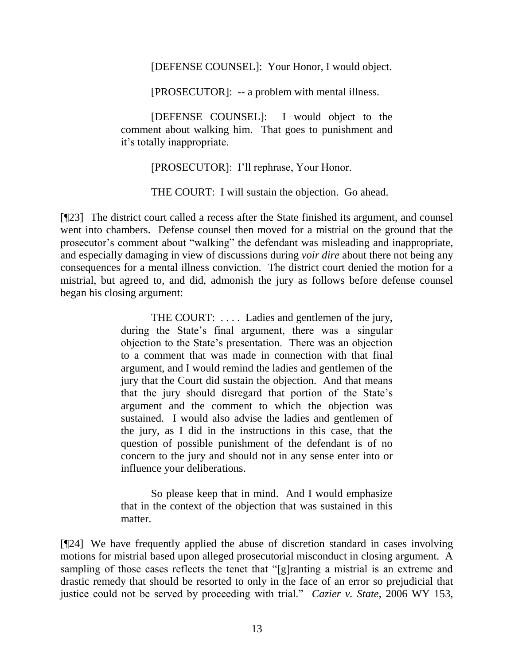[DEFENSE COUNSEL]: Your Honor, I would object.

[PROSECUTOR]: -- a problem with mental illness.

[DEFENSE COUNSEL]: I would object to the comment about walking him. That goes to punishment and it's totally inappropriate.

[PROSECUTOR]: I'll rephrase, Your Honor.

THE COURT: I will sustain the objection. Go ahead.

[¶23] The district court called a recess after the State finished its argument, and counsel went into chambers. Defense counsel then moved for a mistrial on the ground that the prosecutor's comment about "walking" the defendant was misleading and inappropriate, and especially damaging in view of discussions during *voir dire* about there not being any consequences for a mental illness conviction. The district court denied the motion for a mistrial, but agreed to, and did, admonish the jury as follows before defense counsel began his closing argument:

> THE COURT: .... Ladies and gentlemen of the jury, during the State's final argument, there was a singular objection to the State's presentation. There was an objection to a comment that was made in connection with that final argument, and I would remind the ladies and gentlemen of the jury that the Court did sustain the objection. And that means that the jury should disregard that portion of the State's argument and the comment to which the objection was sustained. I would also advise the ladies and gentlemen of the jury, as I did in the instructions in this case, that the question of possible punishment of the defendant is of no concern to the jury and should not in any sense enter into or influence your deliberations.

> So please keep that in mind. And I would emphasize that in the context of the objection that was sustained in this matter.

[¶24] We have frequently applied the abuse of discretion standard in cases involving motions for mistrial based upon alleged prosecutorial misconduct in closing argument. A sampling of those cases reflects the tenet that "[g]ranting a mistrial is an extreme and drastic remedy that should be resorted to only in the face of an error so prejudicial that justice could not be served by proceeding with trial." *Cazier v. State*, 2006 WY 153,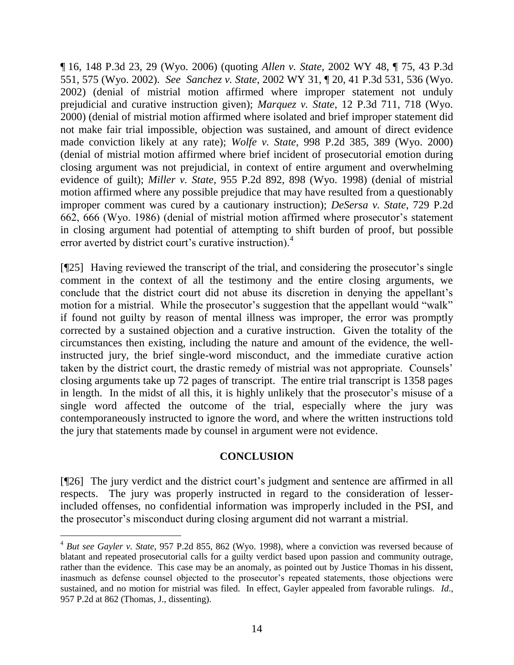¶ 16, 148 P.3d 23, 29 (Wyo. 2006) (quoting *Allen v. State*, 2002 WY 48, ¶ 75, 43 P.3d 551, 575 (Wyo. 2002). *See Sanchez v. State*, 2002 WY 31, ¶ 20, 41 P.3d 531, 536 (Wyo. 2002) (denial of mistrial motion affirmed where improper statement not unduly prejudicial and curative instruction given); *Marquez v. State*, 12 P.3d 711, 718 (Wyo. 2000) (denial of mistrial motion affirmed where isolated and brief improper statement did not make fair trial impossible, objection was sustained, and amount of direct evidence made conviction likely at any rate); *Wolfe v. State*, 998 P.2d 385, 389 (Wyo. 2000) (denial of mistrial motion affirmed where brief incident of prosecutorial emotion during closing argument was not prejudicial, in context of entire argument and overwhelming evidence of guilt); *Miller v. State*, 955 P.2d 892, 898 (Wyo. 1998) (denial of mistrial motion affirmed where any possible prejudice that may have resulted from a questionably improper comment was cured by a cautionary instruction); *DeSersa v. State*, 729 P.2d 662, 666 (Wyo. 1986) (denial of mistrial motion affirmed where prosecutor's statement in closing argument had potential of attempting to shift burden of proof, but possible error averted by district court's curative instruction).<sup>4</sup>

[¶25] Having reviewed the transcript of the trial, and considering the prosecutor's single comment in the context of all the testimony and the entire closing arguments, we conclude that the district court did not abuse its discretion in denying the appellant's motion for a mistrial. While the prosecutor's suggestion that the appellant would "walk" if found not guilty by reason of mental illness was improper, the error was promptly corrected by a sustained objection and a curative instruction. Given the totality of the circumstances then existing, including the nature and amount of the evidence, the wellinstructed jury, the brief single-word misconduct, and the immediate curative action taken by the district court, the drastic remedy of mistrial was not appropriate. Counsels' closing arguments take up 72 pages of transcript. The entire trial transcript is 1358 pages in length. In the midst of all this, it is highly unlikely that the prosecutor's misuse of a single word affected the outcome of the trial, especially where the jury was contemporaneously instructed to ignore the word, and where the written instructions told the jury that statements made by counsel in argument were not evidence.

# **CONCLUSION**

[¶26] The jury verdict and the district court's judgment and sentence are affirmed in all respects. The jury was properly instructed in regard to the consideration of lesserincluded offenses, no confidential information was improperly included in the PSI, and the prosecutor's misconduct during closing argument did not warrant a mistrial.

<sup>4</sup> *But see Gayler v. State*, 957 P.2d 855, 862 (Wyo. 1998), where a conviction was reversed because of blatant and repeated prosecutorial calls for a guilty verdict based upon passion and community outrage, rather than the evidence. This case may be an anomaly, as pointed out by Justice Thomas in his dissent, inasmuch as defense counsel objected to the prosecutor's repeated statements, those objections were sustained, and no motion for mistrial was filed. In effect, Gayler appealed from favorable rulings. *Id*., 957 P.2d at 862 (Thomas, J., dissenting).